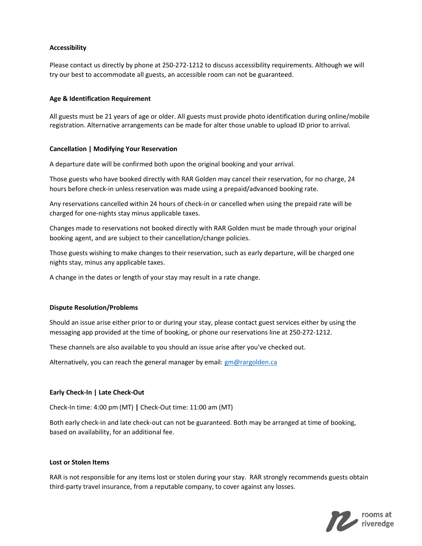# Accessibility

Please contact us directly by phone at 250-272-1212 to discuss accessibility requirements. Although we will try our best to accommodate all guests, an accessible room can not be guaranteed.

# Age & Identification Requirement

All guests must be 21 years of age or older. All guests must provide photo identification during online/mobile registration. Alternative arrangements can be made for alter those unable to upload ID prior to arrival.

## Cancellation | Modifying Your Reservation

A departure date will be confirmed both upon the original booking and your arrival.

Those guests who have booked directly with RAR Golden may cancel their reservation, for no charge, 24 hours before check-in unless reservation was made using a prepaid/advanced booking rate.

Any reservations cancelled within 24 hours of check-in or cancelled when using the prepaid rate will be charged for one-nights stay minus applicable taxes.

Changes made to reservations not booked directly with RAR Golden must be made through your original booking agent, and are subject to their cancellation/change policies.

Those guests wishing to make changes to their reservation, such as early departure, will be charged one nights stay, minus any applicable taxes.

A change in the dates or length of your stay may result in a rate change.

## Dispute Resolution/Problems

Should an issue arise either prior to or during your stay, please contact guest services either by using the messaging app provided at the time of booking, or phone our reservations line at 250-272-1212.

These channels are also available to you should an issue arise after you've checked out.

Alternatively, you can reach the general manager by email: gm@rargolden.ca

# Early Check-In | Late Check-Out

Check-In time: 4:00 pm (MT) | Check-Out time: 11:00 am (MT)

Both early check-in and late check-out can not be guaranteed. Both may be arranged at time of booking, based on availability, for an additional fee.

# Lost or Stolen Items

RAR is not responsible for any items lost or stolen during your stay. RAR strongly recommends guests obtain third-party travel insurance, from a reputable company, to cover against any losses.